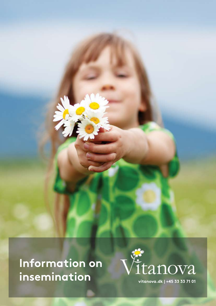Information on insemination

大庄



**v i t a n o v a . d k | + 4 5 3 3 3 3 7 1 0 1**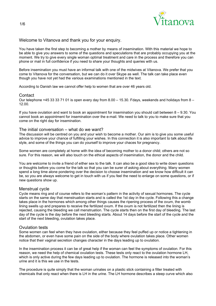

# Welcome to Vitanova and thank you for your enquiry.

You have taken the first step to becoming a mother by means of insemination. With this material we hope to be able to give you answers to some of the questions and speculations that are probably occupying you at the moment. We try to give every single woman optimal treatment and care in the process and therefore you can phone or mail in full confidence if you need to share your thoughts and queries with us.

Before insemination you must have an informal talk with one of the midwives at Vitanova. We prefer that you come to Vitanova for the conversation, but we can do it over Skype as well. The talk can take place even though you have not yet had the various examinations mentioned in the text.

According to Danish law we cannot offer help to women that are over 46 years old.

# **Contact**

Our telephone +45 33 33 71 01 is open every day from 8.00 – 15.30. Fdays, weekends and holidays from 8 – 12.00.

If you have ovulation and want to book an appointment for insemination you should call between 8 – 9.30. You cannot book an appointment for insemination over the e-mail. We need to talk to you to make sure that you come on the right day for insemination.

# The initial conversation – what do we want?

The discussion will be centred on you and your wish to become a mother. Our aim is to give you some useful advice to improve your chance of fulfilling your wishes. In this connection it is also important to talk about life style, and some of the things you can do yourself to improve your chaces for pregnancy.

Some women are completely at home with the idea of becoming mother to a donor child; others are not so sure. For this reason, we will also touch on the ethical aspects of insemination, the donor and the child.

You are welcome to invite a friend of either sex to the talk. It can also be a good idea to write down questions or thoughts before you come for the talk so that you can be surer of asking about everything. Many women spend a long time alone pondering over the decision to choose insemination and we know how difficult it can be, so you are always welcome to get in touch with us if you feel the need to enlarge on some questions, or if new questions show up.

# Menstrual cycle

Cycle means ring and of course refers to the woman's pattern in the activity of sexual hormones. The cycle starts on the same day that menstruation starts and is called the 1st day in the cycle. Following this a change takes place in the hormones which among other things causes the ripening process of the ovum, the womb lining swells up and prepares to receive the fertilized ovum. If the ovum is not fertilized then the lining is rejected, causing the bleeding we call menstruation. The cycle starts then on the first day of bleeding. The last day of the cycle is the day before the next bleeding starts. About 14 days before the start of the cycle and the start of the next bleeding, ovulation takes place.

# Ovulation tests

Some women can feel when they have ovulation, either because they feel puffed up or notice a tightening in the abdomen, or even have some pain on the side of the body where ovulation takes place. Other women notice that their vaginal secretion changes character in the days leading up to ovulation.

In the insemination process it can be of great help if the woman can feel the symptoms of ovulation. For this reason, we need the help of chemical ovulation tests. These tests only react to the ovulation hormone LH, which is only active during the few days leading up to ovulation. The hormone is released into the woman's urine and it is this we use in the tests.

The procedure is quite simply that the woman urinates on a plastic stick containing a filter treated with chemicals that only react when there is LH in the urine. The LH hormone describes a steep curve which also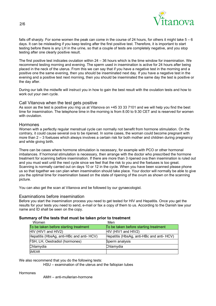

falls off sharply. For some women the peak can come in the course of 24 hours, for others it might take 5 – 6 days. It can be misleading if you keep testing after the first positive test. Therefore, it is important to start testing before there is any LH in the urine, so that a couple of tests are completely negative, and you stop testing after one clearly positive result.

The first positive test indicates ovulation within 24 – 36 hours which is the time window for insemination. We recommend testing morning and evening. The sperm used in insemination is active for 24 hours after being placed in the neck of the uterus. From this we can say that if you have a negative test in the morning and a positive one the same evening, then you should be inseminated next day. If you have a negative test in the evening and a positive test next morning, then you should be inseminated the same day the test is positive or the day after.

During our talk the midwife will instruct you in how to gain the best result with the ovulation tests and how to work out your own cycle.

# Call Vitanova when the test gets positive

As soon as the test is positive you ring us at Vitanova on +45 33 33 7101 and we will help you find the best time for insemination. The telephone time in the morning is from 8.00 to 9.30 CET and is reserved for women with ovulation.

### Hormones

Women with a perfectly regular menstrual cycle can normally not benefit from hormone stimulation. On the contrary, it could cause several ova to be ripened. In some cases, the woman could become pregnant with more than 2 – 3 foetuses which always involves a certain risk for both mother and children during pregnancy and while giving birth.

There can be cases where hormone stimulation is necessary, for example with PCO or other hormonal imbalances. If hormonal stimulation is necessary, then arrange with the doctor who prescribed the hormone treatment for scanning before insemination. If there are more than 3 ripened ova then insemination is ruled out and you must wait until the next cycle since we feel that the risk to you and the foetuses is too great. Scanning is normally carried out on days 10 or 12 in the cycle. When you have been scanned please phone us so that together we can plan when insemination should take place. Your doctor will normally be able to give you the optimal time for insemination based on the state of ripening of the ovum as shown on the scanning picture.

You can also get the scan at Vitanova and be followed by our gynaecologist.

#### Examinations before insemination

Before you start the insemination process you need to get tested for HIV and Hepatitis. Once you get the results for your tests you need to send, e-mail or fax a copy of them to us. According to the Danish law your name and ID shall be seen on the copy.

#### Summary of the tests that must be taken prior to treatment

| Women                                     | Men                                      |
|-------------------------------------------|------------------------------------------|
| To be taken before starting treatment     | To be taken before starting treatment    |
| HIV (HIV1 and HIV2)                       | HIV (HIV1 and HIV2)                      |
| Hepatitis (HbsAg, anti-HBc and anti- HCV) | Hepatitis (HbsAg, anti-HBc and anti-HCV) |
| FSH, LH, Oestradiol (hormones)            | Sperm analysis                           |
| Chlamydia                                 | Chlamydia                                |
| <b>SMEAR</b>                              |                                          |

We also recommend that you do the following tests:

HSU – examination of the uterus and the fallopian tubes

Hormones

AMH – anti-mullerian-hormone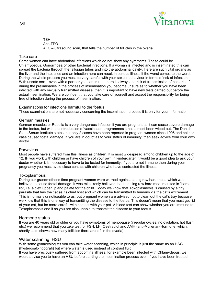

**TSH**  Anti-TPO AFC – ultrasound scan, that tells the number of follicles in the ovaria

### Take care

Some women can have abdominal infections which do not show any symptoms. These could be Chlamydeous, Gonorrhoea or other bacterial infections. If a woman is infected and is inseminated this can spread the bacteria through the fallopian tubes and into the abdominal cavity. Here are such vital organs as the liver and the intestines and an infection here can result in serious illness if the worst comes to the worst. During the whole process you must be very careful with your sexual behaviour in terms of risk of infection. With unsafe sex – even with a partner you can trust – there is always the risk of transmission of bacteria. If during the preliminaries in the process of insemination you become unsure as to whether you have been infected with any sexually transmitted disease, then it is important to have new tests carried out before the actual insemination. We are confident that you take care of yourself and accept the responsibility for being free of infection during the process of insemination.

### Examinations for infections harmful to the foetus

These examinations are not necessary concerning the insemination process it is only for your information.

### German measles

German measles or Rubella is a very dangerous infection if you are pregnant as it can cause severe damage to the foetus, but with the introduction of vaccination programmes it has almost been wiped out. The Danish State Serum Institute states that only 2 cases have been reported in pregnant women since 1996 and neither case caused foetal damage. If you are in doubt as to your status of immunity, then seek advice from your own doctor.

### Parvovirus

Most people have suffered from this illness as children. It is most widespread among children up to the age of 12. IF you work with children or have children of your own in kindergarten it would be a good idea to ask your doctor whether it is necessary to have to be tested for immunity. If you are not immune then during your pregnancy you must avoid close contact with children who have contracted the illness.

#### Toxoplasmosis

During our grandmother's time pregnant women were warned against eating raw hare meat, which was believed to cause foetal damage. It was mistakenly believed that handling raw hare meat resulted in "harelip", i.e. a cleft upper lip and palate for the child. Today we know that Toxoplasmosis is caused by a tiny parasite that has the cat as its chief host and which can be transmitted to humans via the cat's excrement. This is normally unnoticeable to us, but pregnant women are advised not to clean out the cat's tray because we know that this is one way of transmitting the disease to the foetus. This doesn't mean that you must get rid of your cat, but be more careful with contact with your pet. A blood test can show whether you are immune to Toxoplasmosis and if so you are also unable to transmit the disease to your foetus.

# Hormone status

If you are 40 years old or older or you have symptoms of menopause (irregular cycles, no ovulation, hot flush etc.) we recommend that you take test for FSH, LH, Oestradiol and AMH (anti-Müllerian-Hormone, which, shortly said, shows how many follicles there are left in the ovaria).

# Water scanning, HSU

With some gynaecologists you can take water scanning, which in principle is just the same as an HSG (hysterosalpingografi) but where water is used instead of contrast fluid.

If you have preciously suffered from abdominal illness, for example been infected with Chlamydeous, we would advise you to have an HSU before starting the insemination process even if you have been treated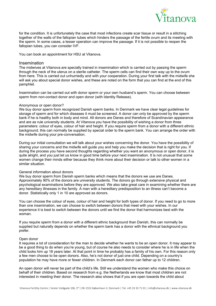

for the condition. It is unfortunately the case that most infections create scar tissue or result in a stitching together of the walls of the fallopian tubes which hinders the passage of the fertile ovum and its meeting with the sperm. In some cases, a lesser operation can improve the passage. If it is not possible to reopen the fallopian tubes, you can consider IVF.

You can book an appointment for HSU at Vitanova.

#### Insemination

The midwives at Vitanova are specially trained in insemination which is carried out by passing the sperm through the neck of the uterus on a sterile catheter. The sperm cells can find their own way up to the ovum from here. This is carried out unhurriedly and with your cooperation. During your first talk with the midwife she will ask you about special donor wishes, and these are noted on the form that you can find at the end of this pamphlet.

Insemination can be carried out with donor sperm or your own husband's sperm. You can choose between sperm from non-contact donor and open donor (with Identity Release).

#### Anonymous or open donor?

We buy donor sperm from recognized Danish sperm banks. In Denmark we have clear legal guidelines for storage of sperm and for which diseases it must be screened. A donor can only be approved by the sperm bank if he is healthy both in body and mind. All donors are Danes and therefore of Scandinavian appearance and are as rule university students. At Vitanova you have the possibility of wishing a donor from three parameters: colour of eyes, colour of hair and height. If you require sperm from a donor with a different ethnic background, this can normally be supplied by special order to the sperm bank. You can arrange the order with the midwife during your pre-conversation.

During our initial consultation we will talk about your wishes concerning the donor. You have the possibility of sharing your concerns and the midwife will guide you and help you make the decision that is right for you. If during the process you have second thoughts regarding whether you want an anonymous or open donor, it is quite alright, and you just let us know in good time before your next insemination. It is not unusual that some women change their minds either because they think more about their decision or talk to other women in a similar situation.

#### General information about donors

We buy donor sperm from Danish sperm banks which means that the donors we use are Danes. Approximately 90% of the donors are university students. The donors go through extensive physical and psychological examinations before they are approved. We also take great care in examining whether there are any hereditary illnesses in the family. A man with a hereditary predisposition to an illness can't become a donor. Statistically only 1 in 10 are approved as donors.

You can choose the colour of eyes, colour of hair and height for both types of donor. If you need to go to more than one insemination, we can choose to switch between donors that meet with your wishes. In our experience it is best to switch between the donors until we find the donor that harmonizes best with the woman.

If you require sperm from a donor with a different ethnic background than Danish, this can normally be supplied but naturally depends on whether the sperm bank has a donor with the ethnical background you prefer.

#### Open donor

It requires a lot of consideration for the man to decide whether he wants to be an open donor. It may appear to be a good thing to do when you're young, but of course he also needs to consider where he is in life when the child looks him up 18 years later. At that point in time he probably has a family of his own. For this reason only a few men choose to be open donors. Also, he's not donor of just one child. Depending on a country's population he may have more or fewer children. In Denmark each donor can father up to 12 children.

An open donor will never be part of the child's life. Still we understand the women who make this choice on behalf of their children. Based on research from e.g. the Netherlands we know that most children are not interested in meeting their donor. The research also shows that if you are open towards the child about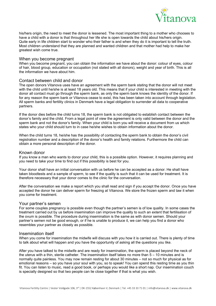

his/hers origin, the need to meet the donor is lessened. The most important thing to a mother who chooses to have a child with a donor is that throughout her life she is open towards the child about his/hers origin. Quite early in life children start to wonder who their father is and when they do it is important to tell the truth. Most children understand that they are planned and wanted children and that mother had help to make her greatest wish come true.

### When you become pregnant

When you become pregnant, you can obtain the information we have about the donor: colour of eyes, colour of hair, blood group, education or occupation (not stated with all donors), weight and year of birth. This is all the information we have about him.

# Contact between child and donor

The open donors Vitanova uses have an agreement with the sperm bank stating that the donor will not meet with the child until he/she is at least 18 years old. This means that if your child is interested in meeting with the donor all contact must go through the sperm bank, as only the sperm bank knows the identity of the donor. If for any reason the sperm bank or Vitanova cease to exist, this has been taken into account through legislation. All sperm banks and fertility clinics in Denmark have a legal obligation to surrender all data to cooperative partners.

If the donor dies before the child turns 18, the sperm bank is not obligated to establish contact between the donor's family and the child. From a legal point of view the agreement is only valid between the donor and the sperm bank and not the donor's family. When your child is born you will receive a document from us which states who your child should turn to in case he/she wishes to obtain information about the donor.

When the child turns 18, he/she has the possibility of contacting the sperm bank to obtain the donor's civil registration number and a description of the donor's health and family relations. Furthermore the child can obtain a more personal description of the donor.

#### Known donor

If you know a man who wants to donor your child, this is a possible option. However, it requires planning and you need to take your time to find out if this possibility is best for you.

Your donor shall have an initial conversation with us before he can be accepted as a donor. He shall have taken bloodtests and a sample of sperm, to see if the quality is such that it can be used for treatment. It is therefore necessary that your donor comes to the clinic for the conversation.

After the conversation we make a report which you shall read and sign if you accept the donor. Once you have accepted the donor he can deliver sperm for freezing at Vitanova. We store the frozen sperm and taw it when you come for treatment.

#### Your partner's semen

For some couples pregnancy is possible even though the partner's semen is of low quality. In some cases the treatment carried out by us before insemination can improve the quality to such an extent that fertilisation of the ovum is possible. The procedure during insemination is the same as with donor semen. Should your partner's semen not be good enough, or if he is unable to produce it, we can help you find a donor who resembles your partner as closely as possible.

#### Insemination itself

When you come for insemination the midwife will discuss with you how it is carried out. There is plenty of time to talk about what will happen and you have the opportunity of asking all the questions you like.

After you have talked to the midwife and are ready for insemination, the sperm is placed beyond the neck of the uterus with a thin, sterile catheter. The insemination itself takes no more than 5 – 10 minutes and is normally quite painless. You may now remain resting for about 30 minutes – not so much for physical as for emotional reasons – so you have your soul with you, so to speak! You can spend this resting time as you thin fit. You can listen to music, read a good book, or perhaps you would like a short nap. Our insemination couch is specially designed so that two people can lie close together if that is what you wish.